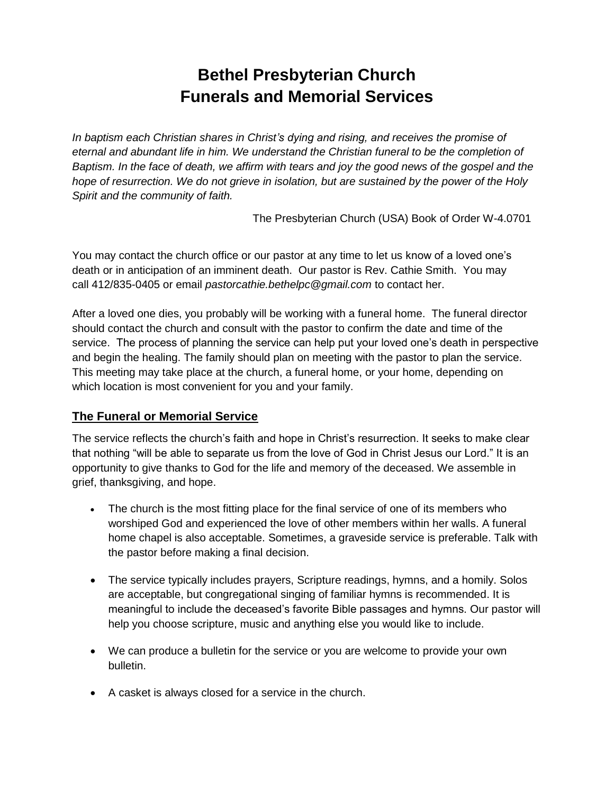## **Bethel Presbyterian Church Funerals and Memorial Services**

*In baptism each Christian shares in Christ's dying and rising, and receives the promise of eternal and abundant life in him. We understand the Christian funeral to be the completion of Baptism. In the face of death, we affirm with tears and joy the good news of the gospel and the hope of resurrection. We do not grieve in isolation, but are sustained by the power of the Holy Spirit and the community of faith.*

The Presbyterian Church (USA) Book of Order W-4.0701

You may contact the church office or our pastor at any time to let us know of a loved one's death or in anticipation of an imminent death. Our pastor is Rev. Cathie Smith. You may call 412/835-0405 or email *pastorcathie.bethelpc@gmail.com* to contact her.

After a loved one dies, you probably will be working with a funeral home. The funeral director should contact the church and consult with the pastor to confirm the date and time of the service. The process of planning the service can help put your loved one's death in perspective and begin the healing. The family should plan on meeting with the pastor to plan the service. This meeting may take place at the church, a funeral home, or your home, depending on which location is most convenient for you and your family.

## **The Funeral or Memorial Service**

The service reflects the church's faith and hope in Christ's resurrection. It seeks to make clear that nothing "will be able to separate us from the love of God in Christ Jesus our Lord." It is an opportunity to give thanks to God for the life and memory of the deceased. We assemble in grief, thanksgiving, and hope.

- The church is the most fitting place for the final service of one of its members who worshiped God and experienced the love of other members within her walls. A funeral home chapel is also acceptable. Sometimes, a graveside service is preferable. Talk with the pastor before making a final decision.
- The service typically includes prayers, Scripture readings, hymns, and a homily. Solos are acceptable, but congregational singing of familiar hymns is recommended. It is meaningful to include the deceased's favorite Bible passages and hymns. Our pastor will help you choose scripture, music and anything else you would like to include.
- We can produce a bulletin for the service or you are welcome to provide your own bulletin.
- A casket is always closed for a service in the church.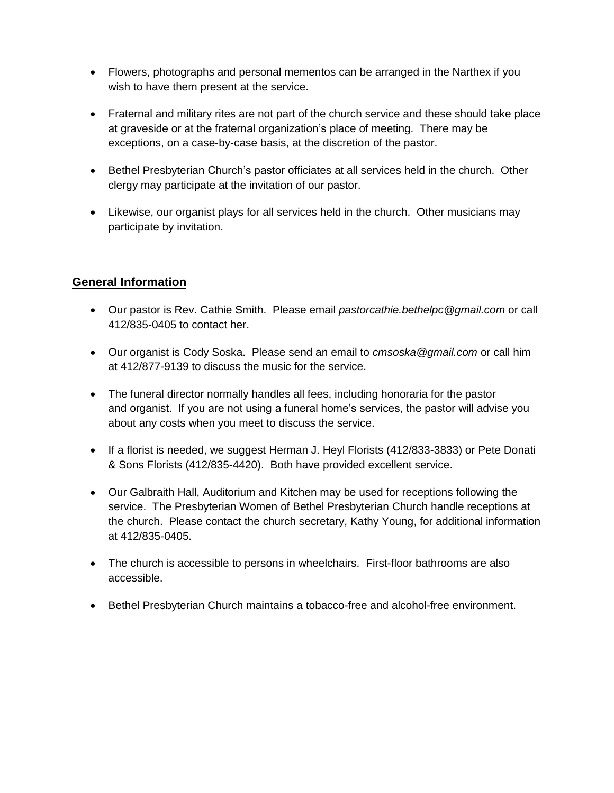- Flowers, photographs and personal mementos can be arranged in the Narthex if you wish to have them present at the service.
- Fraternal and military rites are not part of the church service and these should take place at graveside or at the fraternal organization's place of meeting. There may be exceptions, on a case-by-case basis, at the discretion of the pastor.
- Bethel Presbyterian Church's pastor officiates at all services held in the church. Other clergy may participate at the invitation of our pastor.
- Likewise, our organist plays for all services held in the church. Other musicians may participate by invitation.

## **General Information**

- Our pastor is Rev. Cathie Smith. Please email *pastorcathie.bethelpc@gmail.com* or call 412/835-0405 to contact her.
- Our organist is Cody Soska. Please send an email to *cmsoska@gmail.com* or call him at 412/877-9139 to discuss the music for the service.
- The funeral director normally handles all fees, including honoraria for the pastor and organist. If you are not using a funeral home's services, the pastor will advise you about any costs when you meet to discuss the service.
- If a florist is needed, we suggest Herman J. Heyl Florists (412/833-3833) or Pete Donati & Sons Florists (412/835-4420). Both have provided excellent service.
- Our Galbraith Hall, Auditorium and Kitchen may be used for receptions following the service. The Presbyterian Women of Bethel Presbyterian Church handle receptions at the church. Please contact the church secretary, Kathy Young, for additional information at 412/835-0405.
- The church is accessible to persons in wheelchairs. First-floor bathrooms are also accessible.
- Bethel Presbyterian Church maintains a tobacco-free and alcohol-free environment.